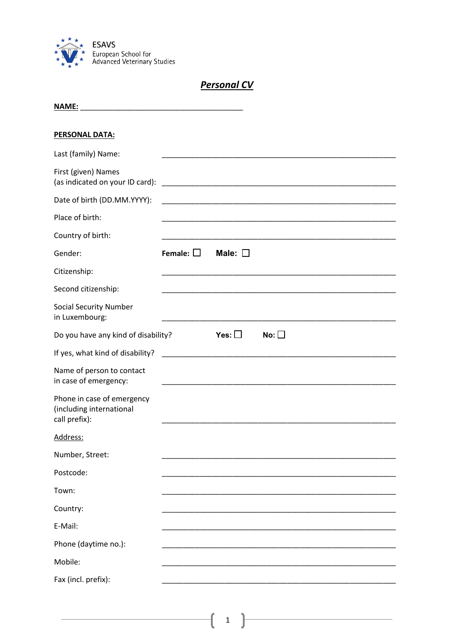

## **Personal CV**

| <b>NAME:</b><br><u> 1989 - Johann Stein, mars an deutscher Stein und der Stein und der Stein und der Stein und der Stein und der</u> |                   |                 |                                                                                                                       |  |
|--------------------------------------------------------------------------------------------------------------------------------------|-------------------|-----------------|-----------------------------------------------------------------------------------------------------------------------|--|
| <b>PERSONAL DATA:</b>                                                                                                                |                   |                 |                                                                                                                       |  |
| Last (family) Name:                                                                                                                  |                   |                 |                                                                                                                       |  |
| First (given) Names<br>(as indicated on your ID card):                                                                               |                   |                 |                                                                                                                       |  |
| Date of birth (DD.MM.YYYY):                                                                                                          |                   |                 |                                                                                                                       |  |
| Place of birth:                                                                                                                      |                   |                 | <u> 1989 - Johann John Stein, markin film yn y system yn y system yn y system yn y system yn y system yn y system</u> |  |
| Country of birth:                                                                                                                    |                   |                 |                                                                                                                       |  |
| Gender:                                                                                                                              | Female: $\square$ | Male: $\square$ |                                                                                                                       |  |
| Citizenship:                                                                                                                         |                   |                 |                                                                                                                       |  |
| Second citizenship:                                                                                                                  |                   |                 |                                                                                                                       |  |
| <b>Social Security Number</b><br>in Luxembourg:                                                                                      |                   |                 |                                                                                                                       |  |
| Do you have any kind of disability?                                                                                                  |                   | Yes: $\square$  | No: $\square$                                                                                                         |  |
| If yes, what kind of disability?                                                                                                     |                   |                 |                                                                                                                       |  |
| Name of person to contact<br>in case of emergency:                                                                                   |                   |                 |                                                                                                                       |  |
| Phone in case of emergency<br>(including international<br>call prefix):                                                              |                   |                 |                                                                                                                       |  |
| Address:                                                                                                                             |                   |                 |                                                                                                                       |  |
| Number, Street:                                                                                                                      |                   |                 |                                                                                                                       |  |
| Postcode:                                                                                                                            |                   |                 |                                                                                                                       |  |
| Town:                                                                                                                                |                   |                 |                                                                                                                       |  |
| Country:                                                                                                                             |                   |                 |                                                                                                                       |  |
| E-Mail:                                                                                                                              |                   |                 |                                                                                                                       |  |
| Phone (daytime no.):                                                                                                                 |                   |                 |                                                                                                                       |  |
| Mobile:                                                                                                                              |                   |                 |                                                                                                                       |  |
| Fax (incl. prefix):                                                                                                                  |                   |                 |                                                                                                                       |  |

 $\overline{\mathbf{1}}$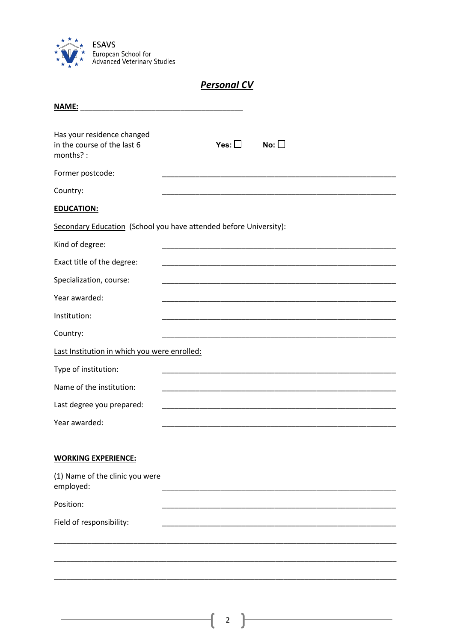

|                                                                       | <b>Personal CV</b> |            |
|-----------------------------------------------------------------------|--------------------|------------|
| <b>NAME:</b>                                                          |                    |            |
| Has your residence changed<br>in the course of the last 6<br>months?: | Yes: $\square$     | No: $\Box$ |
| Former postcode:                                                      |                    |            |
| Country:                                                              |                    |            |
| <b>EDUCATION:</b>                                                     |                    |            |
| Secondary Education (School you have attended before University):     |                    |            |
| Kind of degree:                                                       |                    |            |
| Exact title of the degree:                                            |                    |            |
| Specialization, course:                                               |                    |            |
| Year awarded:                                                         |                    |            |
| Institution:                                                          |                    |            |
| Country:                                                              |                    |            |
| Last Institution in which you were enrolled:                          |                    |            |
| Type of institution:                                                  |                    |            |
| Name of the institution:                                              |                    |            |
| Last degree you prepared:                                             |                    |            |
| Year awarded:                                                         |                    |            |
|                                                                       |                    |            |
| <b>WORKING EXPERIENCE:</b>                                            |                    |            |
| (1) Name of the clinic you were<br>employed:                          |                    |            |
| Position:                                                             |                    |            |
| Field of responsibility:                                              |                    |            |
|                                                                       |                    |            |
|                                                                       |                    |            |